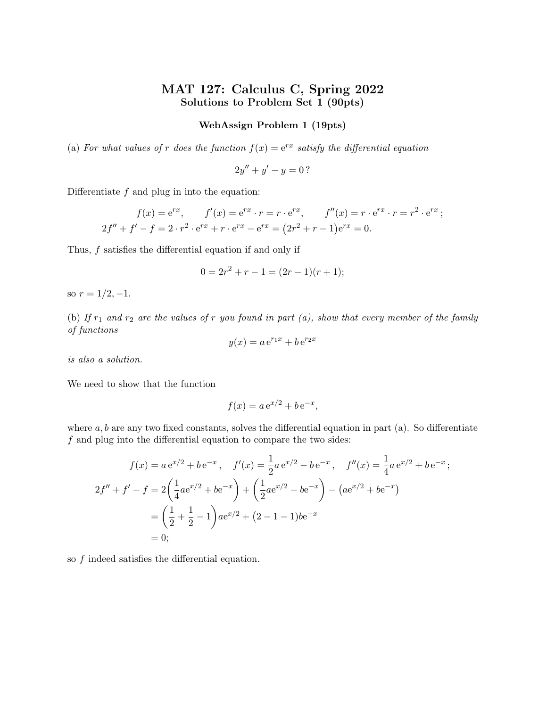# MAT 127: Calculus C, Spring 2022 Solutions to Problem Set 1 (90pts)

## WebAssign Problem 1 (19pts)

(a) For what values of r does the function  $f(x) = e^{rx}$  satisfy the differential equation

$$
2y'' + y' - y = 0?
$$

Differentiate  $f$  and plug in into the equation:

$$
f(x) = e^{rx}, \t f'(x) = e^{rx} \cdot r = r \cdot e^{rx}, \t f''(x) = r \cdot e^{rx} \cdot r = r^2 \cdot e^{rx};
$$
  

$$
2f'' + f' - f = 2 \cdot r^2 \cdot e^{rx} + r \cdot e^{rx} - e^{rx} = (2r^2 + r - 1)e^{rx} = 0.
$$

Thus,  $f$  satisfies the differential equation if and only if

$$
0 = 2r^2 + r - 1 = (2r - 1)(r + 1);
$$

so  $r = 1/2, -1$ .

(b) If  $r_1$  and  $r_2$  are the values of r you found in part (a), show that every member of the family of functions

$$
y(x) = a e^{r_1 x} + b e^{r_2 x}
$$

is also a solution.

We need to show that the function

$$
f(x) = a e^{x/2} + b e^{-x},
$$

where  $a, b$  are any two fixed constants, solves the differential equation in part (a). So differentiate f and plug into the differential equation to compare the two sides:

$$
f(x) = a e^{x/2} + b e^{-x}, \quad f'(x) = \frac{1}{2} a e^{x/2} - b e^{-x}, \quad f''(x) = \frac{1}{4} a e^{x/2} + b e^{-x};
$$
  

$$
2f'' + f' - f = 2\left(\frac{1}{4} a e^{x/2} + b e^{-x}\right) + \left(\frac{1}{2} a e^{x/2} - b e^{-x}\right) - \left(a e^{x/2} + b e^{-x}\right)
$$
  

$$
= \left(\frac{1}{2} + \frac{1}{2} - 1\right) a e^{x/2} + (2 - 1 - 1) b e^{-x}
$$
  

$$
= 0;
$$

so f indeed satisfies the differential equation.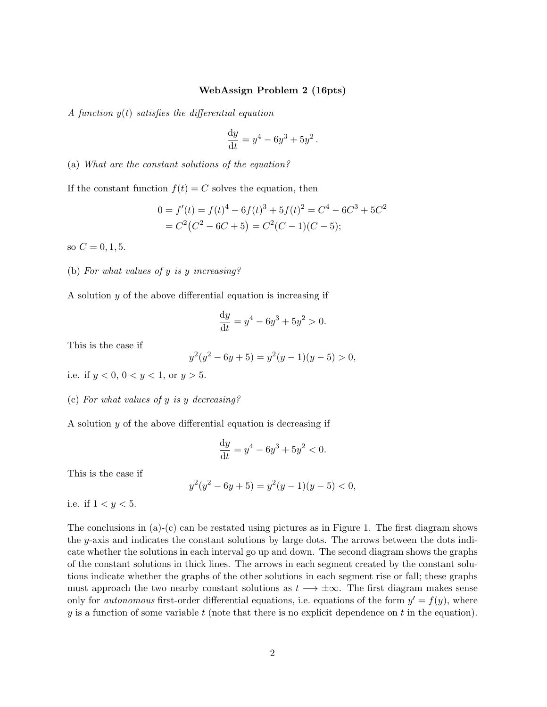## WebAssign Problem 2 (16pts)

A function  $y(t)$  satisfies the differential equation

$$
\frac{\mathrm{d}y}{\mathrm{d}t} = y^4 - 6y^3 + 5y^2.
$$

(a) What are the constant solutions of the equation?

If the constant function  $f(t) = C$  solves the equation, then

$$
0 = f'(t) = f(t)^{4} - 6f(t)^{3} + 5f(t)^{2} = C^{4} - 6C^{3} + 5C^{2}
$$
  
=  $C^{2}(C^{2} - 6C + 5) = C^{2}(C - 1)(C - 5);$ 

so  $C = 0, 1, 5$ .

# (b) For what values of y is y increasing?

A solution  $y$  of the above differential equation is increasing if

$$
\frac{dy}{dt} = y^4 - 6y^3 + 5y^2 > 0.
$$

This is the case if

$$
y^{2}(y^{2} - 6y + 5) = y^{2}(y - 1)(y - 5) > 0,
$$

i.e. if  $y < 0$ ,  $0 < y < 1$ , or  $y > 5$ .

#### (c) For what values of y is y decreasing?

A solution  $y$  of the above differential equation is decreasing if

$$
\frac{dy}{dt} = y^4 - 6y^3 + 5y^2 < 0.
$$

This is the case if

$$
y^2(y^2 - 6y + 5) = y^2(y - 1)(y - 5) < 0,
$$

i.e. if  $1 < y < 5$ .

The conclusions in (a)-(c) can be restated using pictures as in Figure 1. The first diagram shows the y-axis and indicates the constant solutions by large dots. The arrows between the dots indicate whether the solutions in each interval go up and down. The second diagram shows the graphs of the constant solutions in thick lines. The arrows in each segment created by the constant solutions indicate whether the graphs of the other solutions in each segment rise or fall; these graphs must approach the two nearby constant solutions as  $t \rightarrow \pm \infty$ . The first diagram makes sense only for *autonomous* first-order differential equations, i.e. equations of the form  $y' = f(y)$ , where  $y$  is a function of some variable  $t$  (note that there is no explicit dependence on  $t$  in the equation).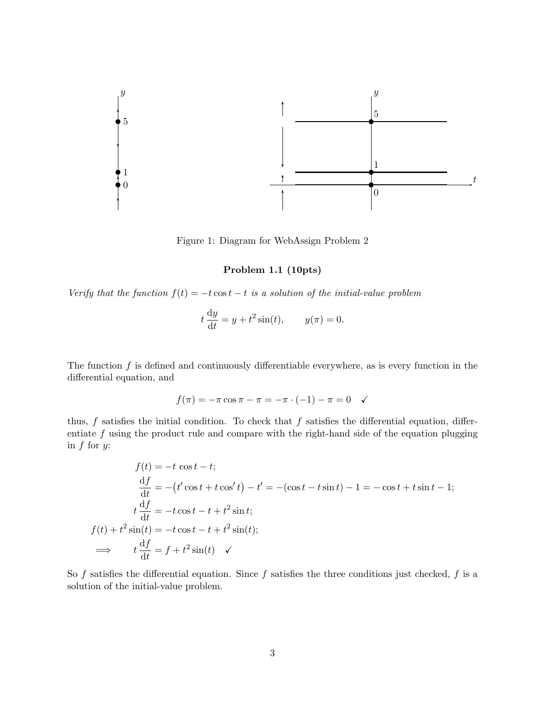

Figure 1: Diagram for WebAssign Problem 2

# Problem 1.1 (10pts)

Verify that the function  $f(t) = -t \cos t - t$  is a solution of the initial-value problem

$$
t\frac{\mathrm{d}y}{\mathrm{d}t} = y + t^2 \sin(t), \qquad y(\pi) = 0.
$$

The function  $f$  is defined and continuously differentiable everywhere, as is every function in the differential equation, and

$$
f(\pi) = -\pi \cos \pi - \pi = -\pi \cdot (-1) - \pi = 0 \quad \checkmark
$$

thus,  $f$  satisfies the initial condition. To check that  $f$  satisfies the differential equation, differentiate  $f$  using the product rule and compare with the right-hand side of the equation plugging in  $f$  for  $y$ :

$$
f(t) = -t \cos t - t;
$$
  
\n
$$
\frac{df}{dt} = -(t'\cos t + t\cos' t) - t' = -(\cos t - t\sin t) - 1 = -\cos t + t\sin t - 1;
$$
  
\n
$$
t\frac{df}{dt} = -t\cos t - t + t^2\sin t;
$$
  
\n
$$
f(t) + t^2\sin(t) = -t\cos t - t + t^2\sin(t);
$$
  
\n
$$
\implies t\frac{df}{dt} = f + t^2\sin(t) \quad \checkmark
$$

So  $f$  satisfies the differential equation. Since  $f$  satisfies the three conditions just checked,  $f$  is a solution of the initial-value problem.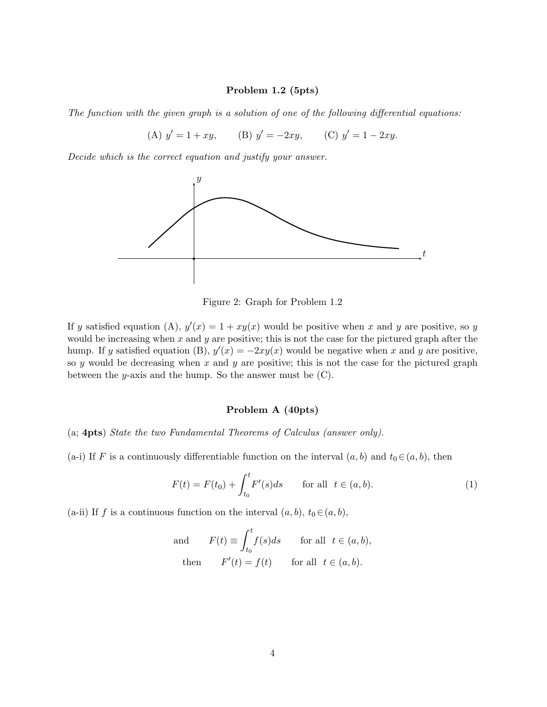#### Problem 1.2 (5pts)

The function with the given graph is a solution of one of the following differential equations:

(A)  $y' = 1 + xy$ , (B)  $y' = -2xy$ , (C)  $y' = 1 - 2xy$ .

Decide which is the correct equation and justify your answer.



Figure 2: Graph for Problem 1.2

If y satisfied equation (A),  $y'(x) = 1 + xy(x)$  would be positive when x and y are positive, so y would be increasing when  $x$  and  $y$  are positive; this is not the case for the pictured graph after the hump. If y satisfied equation (B),  $y'(x) = -2xy(x)$  would be negative when x and y are positive, so y would be decreasing when x and y are positive; this is not the case for the pictured graph between the  $y$ -axis and the hump. So the answer must be  $(C)$ .

#### Problem A (40pts)

(a; 4pts) State the two Fundamental Theorems of Calculus (answer only).

(a-i) If F is a continuously differentiable function on the interval  $(a, b)$  and  $t_0 \in (a, b)$ , then

$$
F(t) = F(t_0) + \int_{t_0}^t F'(s)ds \quad \text{for all } t \in (a, b).
$$
 (1)

(a-ii) If f is a continuous function on the interval  $(a, b)$ ,  $t_0 \in (a, b)$ ,

and 
$$
F(t) \equiv \int_{t_0}^{t} f(s)ds
$$
 for all  $t \in (a, b)$ ,  
then  $F'(t) = f(t)$  for all  $t \in (a, b)$ .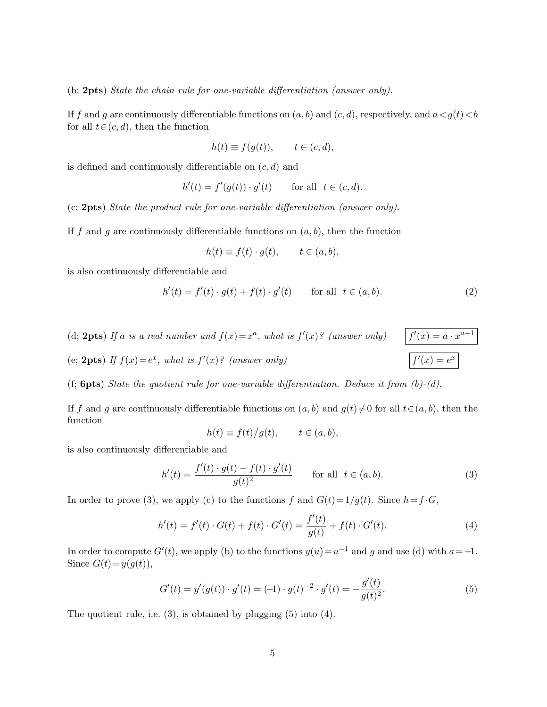(b; 2pts) State the chain rule for one-variable differentiation (answer only).

If f and g are continuously differentiable functions on  $(a, b)$  and  $(c, d)$ , respectively, and  $a < g(t) < b$ for all  $t \in (c, d)$ , then the function

$$
h(t) \equiv f(g(t)), \qquad t \in (c, d),
$$

is defined and continuously differentiable on  $(c, d)$  and

$$
h'(t) = f'(g(t)) \cdot g'(t) \qquad \text{for all} \ \ t \in (c, d).
$$

(c; 2pts) State the product rule for one-variable differentiation (answer only).

If f and g are continuously differentiable functions on  $(a, b)$ , then the function

$$
h(t) \equiv f(t) \cdot g(t), \qquad t \in (a, b),
$$

is also continuously differentiable and

$$
h'(t) = f'(t) \cdot g(t) + f(t) \cdot g'(t) \quad \text{for all } t \in (a, b).
$$
 (2)

 $'(x) = a \cdot x^{a-1}$ 

 $\overline{f'(x)} = e^x$ 

(d; 2pts) If a is a real number and  $f(x) = x^a$ , what is  $f'(x)$ ? (answer only)  $\qquad$  f

(e; 2pts) If  $f(x) = e^x$ , what is  $f'(x)$ ? (answer only)

(f; **6pts**) State the quotient rule for one-variable differentiation. Deduce it from  $(b)-(d)$ .

If f and g are continuously differentiable functions on  $(a, b)$  and  $g(t) \neq 0$  for all  $t \in (a, b)$ , then the function

$$
h(t) \equiv f(t)/g(t), \qquad t \in (a, b),
$$

is also continuously differentiable and

$$
h'(t) = \frac{f'(t) \cdot g(t) - f(t) \cdot g'(t)}{g(t)^2} \quad \text{for all } t \in (a, b).
$$
 (3)

In order to prove (3), we apply (c) to the functions f and  $G(t)=1/g(t)$ . Since  $h=f\cdot G$ ,

$$
h'(t) = f'(t) \cdot G(t) + f(t) \cdot G'(t) = \frac{f'(t)}{g(t)} + f(t) \cdot G'(t).
$$
\n(4)

In order to compute  $G'(t)$ , we apply (b) to the functions  $y(u) = u^{-1}$  and g and use (d) with  $a = -1$ . Since  $G(t) = y(g(t)),$ 

$$
G'(t) = y'(g(t)) \cdot g'(t) = (-1) \cdot g(t)^{-2} \cdot g'(t) = -\frac{g'(t)}{g(t)^2}.
$$
\n(5)

The quotient rule, i.e. (3), is obtained by plugging (5) into (4).